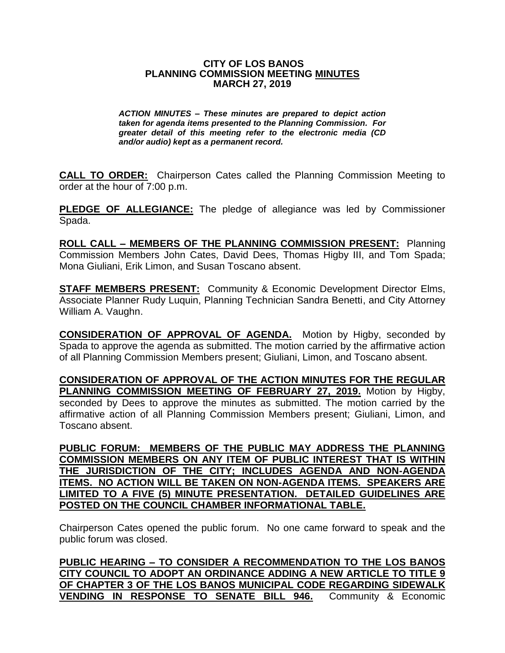#### **CITY OF LOS BANOS PLANNING COMMISSION MEETING MINUTES MARCH 27, 2019**

*ACTION MINUTES – These minutes are prepared to depict action taken for agenda items presented to the Planning Commission. For greater detail of this meeting refer to the electronic media (CD and/or audio) kept as a permanent record.*

**CALL TO ORDER:** Chairperson Cates called the Planning Commission Meeting to order at the hour of 7:00 p.m.

**PLEDGE OF ALLEGIANCE:** The pledge of allegiance was led by Commissioner Spada.

**ROLL CALL – MEMBERS OF THE PLANNING COMMISSION PRESENT:** Planning Commission Members John Cates, David Dees, Thomas Higby III, and Tom Spada; Mona Giuliani, Erik Limon, and Susan Toscano absent.

**STAFF MEMBERS PRESENT:** Community & Economic Development Director Elms, Associate Planner Rudy Luquin, Planning Technician Sandra Benetti, and City Attorney William A. Vaughn.

**CONSIDERATION OF APPROVAL OF AGENDA.** Motion by Higby, seconded by Spada to approve the agenda as submitted. The motion carried by the affirmative action of all Planning Commission Members present; Giuliani, Limon, and Toscano absent.

**CONSIDERATION OF APPROVAL OF THE ACTION MINUTES FOR THE REGULAR PLANNING COMMISSION MEETING OF FEBRUARY 27, 2019.** Motion by Higby, seconded by Dees to approve the minutes as submitted. The motion carried by the affirmative action of all Planning Commission Members present; Giuliani, Limon, and Toscano absent.

**PUBLIC FORUM: MEMBERS OF THE PUBLIC MAY ADDRESS THE PLANNING COMMISSION MEMBERS ON ANY ITEM OF PUBLIC INTEREST THAT IS WITHIN THE JURISDICTION OF THE CITY; INCLUDES AGENDA AND NON-AGENDA ITEMS. NO ACTION WILL BE TAKEN ON NON-AGENDA ITEMS. SPEAKERS ARE LIMITED TO A FIVE (5) MINUTE PRESENTATION. DETAILED GUIDELINES ARE POSTED ON THE COUNCIL CHAMBER INFORMATIONAL TABLE.**

Chairperson Cates opened the public forum. No one came forward to speak and the public forum was closed.

**PUBLIC HEARING – TO CONSIDER A RECOMMENDATION TO THE LOS BANOS CITY COUNCIL TO ADOPT AN ORDINANCE ADDING A NEW ARTICLE TO TITLE 9 OF CHAPTER 3 OF THE LOS BANOS MUNICIPAL CODE REGARDING SIDEWALK VENDING IN RESPONSE TO SENATE BILL 946.** Community & Economic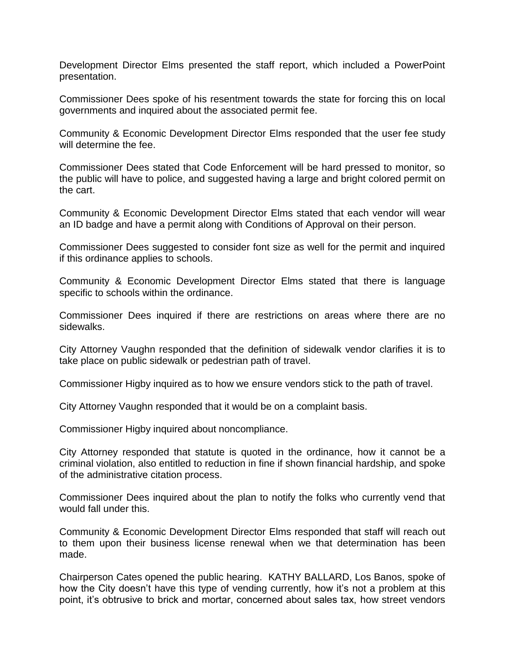Development Director Elms presented the staff report, which included a PowerPoint presentation.

Commissioner Dees spoke of his resentment towards the state for forcing this on local governments and inquired about the associated permit fee.

Community & Economic Development Director Elms responded that the user fee study will determine the fee.

Commissioner Dees stated that Code Enforcement will be hard pressed to monitor, so the public will have to police, and suggested having a large and bright colored permit on the cart.

Community & Economic Development Director Elms stated that each vendor will wear an ID badge and have a permit along with Conditions of Approval on their person.

Commissioner Dees suggested to consider font size as well for the permit and inquired if this ordinance applies to schools.

Community & Economic Development Director Elms stated that there is language specific to schools within the ordinance.

Commissioner Dees inquired if there are restrictions on areas where there are no sidewalks.

City Attorney Vaughn responded that the definition of sidewalk vendor clarifies it is to take place on public sidewalk or pedestrian path of travel.

Commissioner Higby inquired as to how we ensure vendors stick to the path of travel.

City Attorney Vaughn responded that it would be on a complaint basis.

Commissioner Higby inquired about noncompliance.

City Attorney responded that statute is quoted in the ordinance, how it cannot be a criminal violation, also entitled to reduction in fine if shown financial hardship, and spoke of the administrative citation process.

Commissioner Dees inquired about the plan to notify the folks who currently vend that would fall under this.

Community & Economic Development Director Elms responded that staff will reach out to them upon their business license renewal when we that determination has been made.

Chairperson Cates opened the public hearing. KATHY BALLARD, Los Banos, spoke of how the City doesn't have this type of vending currently, how it's not a problem at this point, it's obtrusive to brick and mortar, concerned about sales tax, how street vendors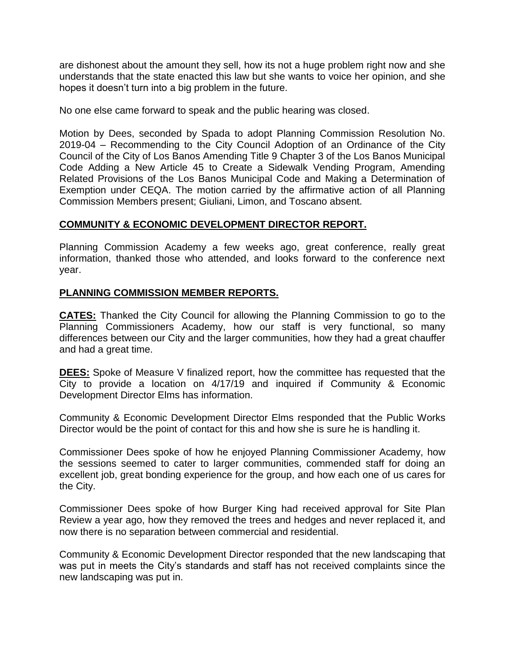are dishonest about the amount they sell, how its not a huge problem right now and she understands that the state enacted this law but she wants to voice her opinion, and she hopes it doesn't turn into a big problem in the future.

No one else came forward to speak and the public hearing was closed.

Motion by Dees, seconded by Spada to adopt Planning Commission Resolution No. 2019-04 – Recommending to the City Council Adoption of an Ordinance of the City Council of the City of Los Banos Amending Title 9 Chapter 3 of the Los Banos Municipal Code Adding a New Article 45 to Create a Sidewalk Vending Program, Amending Related Provisions of the Los Banos Municipal Code and Making a Determination of Exemption under CEQA. The motion carried by the affirmative action of all Planning Commission Members present; Giuliani, Limon, and Toscano absent.

## **COMMUNITY & ECONOMIC DEVELOPMENT DIRECTOR REPORT.**

Planning Commission Academy a few weeks ago, great conference, really great information, thanked those who attended, and looks forward to the conference next year.

### **PLANNING COMMISSION MEMBER REPORTS.**

**CATES:** Thanked the City Council for allowing the Planning Commission to go to the Planning Commissioners Academy, how our staff is very functional, so many differences between our City and the larger communities, how they had a great chauffer and had a great time.

**DEES:** Spoke of Measure V finalized report, how the committee has requested that the City to provide a location on 4/17/19 and inquired if Community & Economic Development Director Elms has information.

Community & Economic Development Director Elms responded that the Public Works Director would be the point of contact for this and how she is sure he is handling it.

Commissioner Dees spoke of how he enjoyed Planning Commissioner Academy, how the sessions seemed to cater to larger communities, commended staff for doing an excellent job, great bonding experience for the group, and how each one of us cares for the City.

Commissioner Dees spoke of how Burger King had received approval for Site Plan Review a year ago, how they removed the trees and hedges and never replaced it, and now there is no separation between commercial and residential.

Community & Economic Development Director responded that the new landscaping that was put in meets the City's standards and staff has not received complaints since the new landscaping was put in.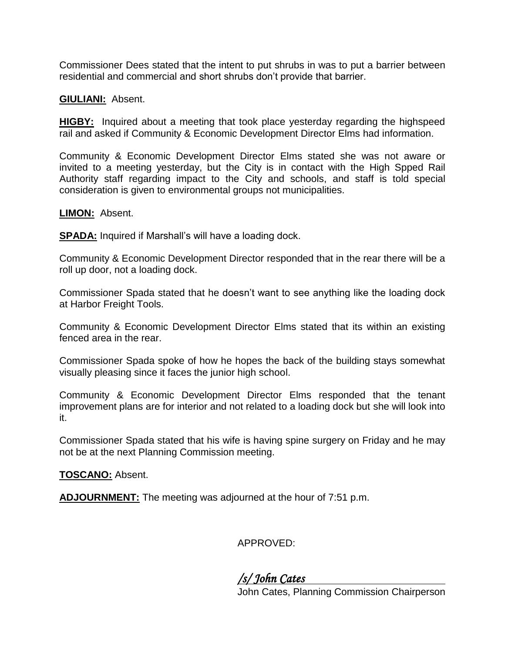Commissioner Dees stated that the intent to put shrubs in was to put a barrier between residential and commercial and short shrubs don't provide that barrier.

#### **GIULIANI:** Absent.

**HIGBY:** Inquired about a meeting that took place yesterday regarding the highspeed rail and asked if Community & Economic Development Director Elms had information.

Community & Economic Development Director Elms stated she was not aware or invited to a meeting yesterday, but the City is in contact with the High Spped Rail Authority staff regarding impact to the City and schools, and staff is told special consideration is given to environmental groups not municipalities.

#### **LIMON:** Absent.

**SPADA:** Inquired if Marshall's will have a loading dock.

Community & Economic Development Director responded that in the rear there will be a roll up door, not a loading dock.

Commissioner Spada stated that he doesn't want to see anything like the loading dock at Harbor Freight Tools.

Community & Economic Development Director Elms stated that its within an existing fenced area in the rear.

Commissioner Spada spoke of how he hopes the back of the building stays somewhat visually pleasing since it faces the junior high school.

Community & Economic Development Director Elms responded that the tenant improvement plans are for interior and not related to a loading dock but she will look into it.

Commissioner Spada stated that his wife is having spine surgery on Friday and he may not be at the next Planning Commission meeting.

#### **TOSCANO:** Absent.

**ADJOURNMENT:** The meeting was adjourned at the hour of 7:51 p.m.

APPROVED:

*/s/ John Cates* 

John Cates, Planning Commission Chairperson